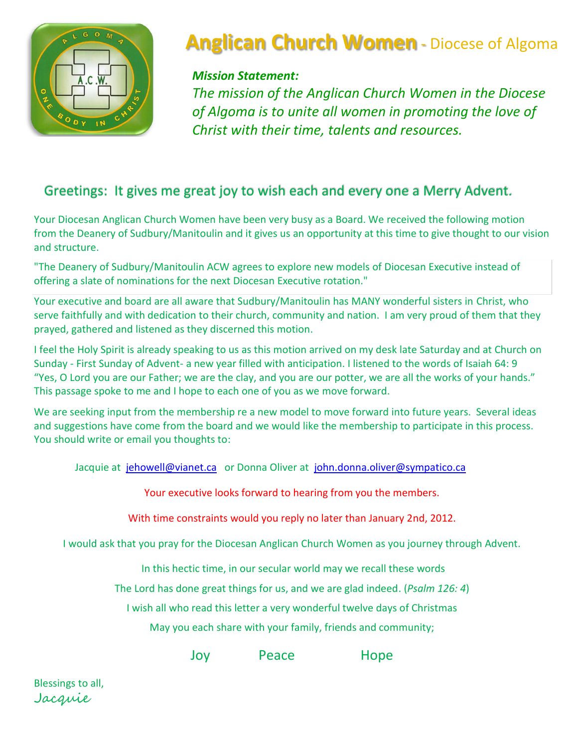

# **Anglican Church Women** - Diocese of Algoma

### *Mission Statement:*

*The mission of the Anglican Church Women in the Diocese of Algoma is to unite all women in promoting the love of Christ with their time, talents and resources.*

# Greetings: It gives me great joy to wish each and every one a Merry Advent.

Your Diocesan Anglican Church Women have been very busy as a Board. We received the following motion from the Deanery of Sudbury/Manitoulin and it gives us an opportunity at this time to give thought to our vision and structure.

"The Deanery of Sudbury/Manitoulin ACW agrees to explore new models of Diocesan Executive instead of offering a slate of nominations for the next Diocesan Executive rotation."

Your executive and board are all aware that Sudbury/Manitoulin has MANY wonderful sisters in Christ, who serve faithfully and with dedication to their church, community and nation. I am very proud of them that they prayed, gathered and listened as they discerned this motion.

I feel the Holy Spirit is already speaking to us as this motion arrived on my desk late Saturday and at Church on Sunday - First Sunday of Advent- a new year filled with anticipation. I listened to the words of Isaiah 64: 9 "Yes, O Lord you are our Father; we are the clay, and you are our potter, we are all the works of your hands." This passage spoke to me and I hope to each one of you as we move forward.

We are seeking input from the membership re a new model to move forward into future years. Several ideas and suggestions have come from the board and we would like the membership to participate in this process. You should write or email you thoughts to:

Jacquie at [jehowell@vianet.ca](mailto:jehowell@vianet.ca) or Donna Oliver at john.donna.oliver@sympatico.ca

Your executive looks forward to hearing from you the members.

With time constraints would you reply no later than January 2nd, 2012.

I would ask that you pray for the Diocesan Anglican Church Women as you journey through Advent.

In this hectic time, in our secular world may we recall these words

The Lord has done great things for us, and we are glad indeed. (*Psalm 126: 4*)

I wish all who read this letter a very wonderful twelve days of Christmas

May you each share with your family, friends and community;

Joy Peace Hope

Blessings to all, Jacquie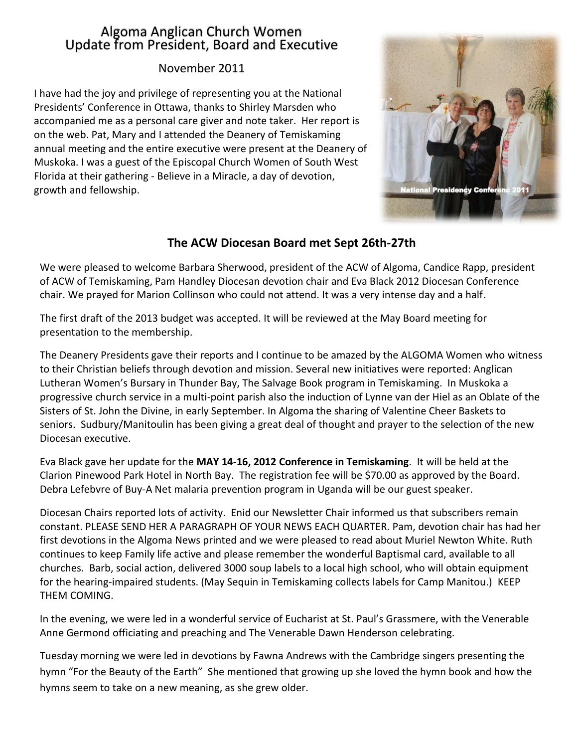### Algoma Anglican Church Women Update from President, Board and Executive

#### November 2011

I have had the joy and privilege of representing you at the National Presidents' Conference in Ottawa, thanks to Shirley Marsden who accompanied me as a personal care giver and note taker. Her report is on the web. Pat, Mary and I attended the Deanery of Temiskaming annual meeting and the entire executive were present at the Deanery of Muskoka. I was a guest of the Episcopal Church Women of South West Florida at their gathering - Believe in a Miracle, a day of devotion, growth and fellowship.



### **The ACW Diocesan Board met Sept 26th-27th**

We were pleased to welcome Barbara Sherwood, president of the ACW of Algoma, Candice Rapp, president of ACW of Temiskaming, Pam Handley Diocesan devotion chair and Eva Black 2012 Diocesan Conference chair. We prayed for Marion Collinson who could not attend. It was a very intense day and a half.

The first draft of the 2013 budget was accepted. It will be reviewed at the May Board meeting for presentation to the membership.

The Deanery Presidents gave their reports and I continue to be amazed by the ALGOMA Women who witness to their Christian beliefs through devotion and mission. Several new initiatives were reported: Anglican Lutheran Women's Bursary in Thunder Bay, The Salvage Book program in Temiskaming. In Muskoka a progressive church service in a multi-point parish also the induction of Lynne van der Hiel as an Oblate of the Sisters of St. John the Divine, in early September. In Algoma the sharing of Valentine Cheer Baskets to seniors. Sudbury/Manitoulin has been giving a great deal of thought and prayer to the selection of the new Diocesan executive.

Eva Black gave her update for the **MAY 14-16, 2012 Conference in Temiskaming**. It will be held at the Clarion Pinewood Park Hotel in North Bay. The registration fee will be \$70.00 as approved by the Board. Debra Lefebvre of Buy-A Net malaria prevention program in Uganda will be our guest speaker.

Diocesan Chairs reported lots of activity. Enid our Newsletter Chair informed us that subscribers remain constant. PLEASE SEND HER A PARAGRAPH OF YOUR NEWS EACH QUARTER. Pam, devotion chair has had her first devotions in the Algoma News printed and we were pleased to read about Muriel Newton White. Ruth continues to keep Family life active and please remember the wonderful Baptismal card, available to all churches. Barb, social action, delivered 3000 soup labels to a local high school, who will obtain equipment for the hearing-impaired students. (May Sequin in Temiskaming collects labels for Camp Manitou.) KEEP THEM COMING.

In the evening, we were led in a wonderful service of Eucharist at St. Paul's Grassmere, with the Venerable Anne Germond officiating and preaching and The Venerable Dawn Henderson celebrating.

Tuesday morning we were led in devotions by Fawna Andrews with the Cambridge singers presenting the hymn "For the Beauty of the Earth" She mentioned that growing up she loved the hymn book and how the hymns seem to take on a new meaning, as she grew older.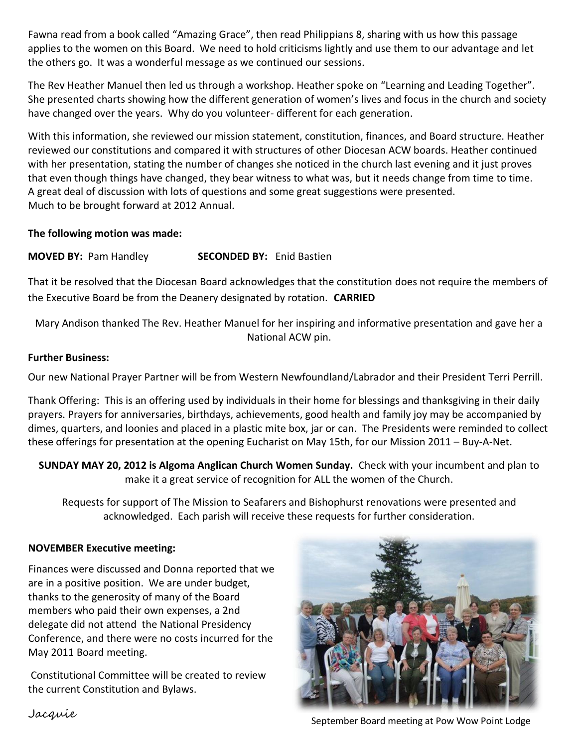Fawna read from a book called "Amazing Grace", then read Philippians 8, sharing with us how this passage applies to the women on this Board. We need to hold criticisms lightly and use them to our advantage and let the others go. It was a wonderful message as we continued our sessions.

The Rev Heather Manuel then led us through a workshop. Heather spoke on "Learning and Leading Together". She presented charts showing how the different generation of women's lives and focus in the church and society have changed over the years. Why do you volunteer- different for each generation.

With this information, she reviewed our mission statement, constitution, finances, and Board structure. Heather reviewed our constitutions and compared it with structures of other Diocesan ACW boards. Heather continued with her presentation, stating the number of changes she noticed in the church last evening and it just proves that even though things have changed, they bear witness to what was, but it needs change from time to time. A great deal of discussion with lots of questions and some great suggestions were presented. Much to be brought forward at 2012 Annual.

#### **The following motion was made:**

**MOVED BY:** Pam Handley **SECONDED BY:** Enid Bastien

That it be resolved that the Diocesan Board acknowledges that the constitution does not require the members of the Executive Board be from the Deanery designated by rotation. **CARRIED** 

Mary Andison thanked The Rev. Heather Manuel for her inspiring and informative presentation and gave her a National ACW pin.

#### **Further Business:**

Our new National Prayer Partner will be from Western Newfoundland/Labrador and their President Terri Perrill.

Thank Offering: This is an offering used by individuals in their home for blessings and thanksgiving in their daily prayers. Prayers for anniversaries, birthdays, achievements, good health and family joy may be accompanied by dimes, quarters, and loonies and placed in a plastic mite box, jar or can. The Presidents were reminded to collect these offerings for presentation at the opening Eucharist on May 15th, for our Mission 2011 – Buy-A-Net.

**SUNDAY MAY 20, 2012 is Algoma Anglican Church Women Sunday.** Check with your incumbent and plan to make it a great service of recognition for ALL the women of the Church.

Requests for support of The Mission to Seafarers and Bishophurst renovations were presented and acknowledged. Each parish will receive these requests for further consideration.

#### **NOVEMBER Executive meeting:**

Finances were discussed and Donna reported that we are in a positive position. We are under budget, thanks to the generosity of many of the Board members who paid their own expenses, a 2nd delegate did not attend the National Presidency Conference, and there were no costs incurred for the May 2011 Board meeting.

Constitutional Committee will be created to review the current Constitution and Bylaws.



Jacquie September Board meeting at Pow Wow Point Lodge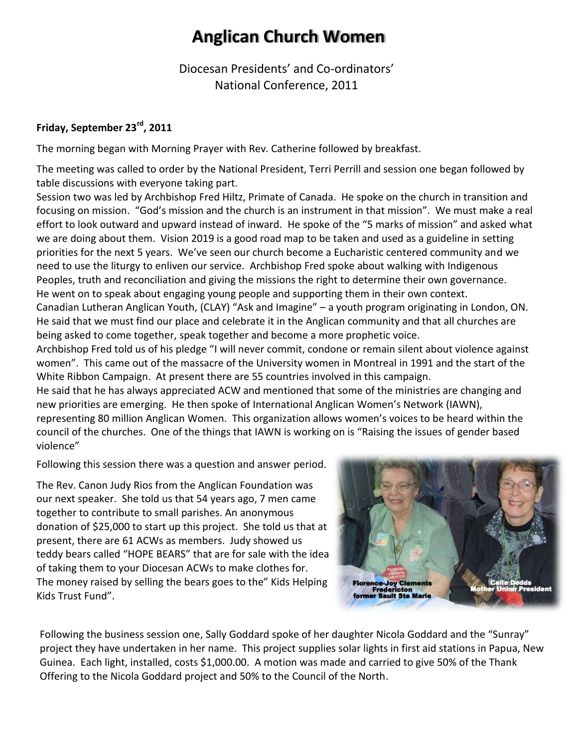# **Anglican Church Women**

Diocesan Presidents' and Co-ordinators' National Conference, 2011

#### **Friday, September 23rd, 2011**

The morning began with Morning Prayer with Rev. Catherine followed by breakfast.

The meeting was called to order by the National President, Terri Perrill and session one began followed by table discussions with everyone taking part.

Session two was led by Archbishop Fred Hiltz, Primate of Canada. He spoke on the church in transition and focusing on mission. "God's mission and the church is an instrument in that mission". We must make a real effort to look outward and upward instead of inward. He spoke of the "5 marks of mission" and asked what we are doing about them. Vision 2019 is a good road map to be taken and used as a guideline in setting priorities for the next 5 years. We've seen our church become a Eucharistic centered community and we need to use the liturgy to enliven our service. Archbishop Fred spoke about walking with Indigenous Peoples, truth and reconciliation and giving the missions the right to determine their own governance. He went on to speak about engaging young people and supporting them in their own context. Canadian Lutheran Anglican Youth, (CLAY) "Ask and Imagine" – a youth program originating in London, ON. He said that we must find our place and celebrate it in the Anglican community and that all churches are being asked to come together, speak together and become a more prophetic voice.

Archbishop Fred told us of his pledge "I will never commit, condone or remain silent about violence against women". This came out of the massacre of the University women in Montreal in 1991 and the start of the White Ribbon Campaign. At present there are 55 countries involved in this campaign.

He said that he has always appreciated ACW and mentioned that some of the ministries are changing and new priorities are emerging. He then spoke of International Anglican Women's Network (IAWN), representing 80 million Anglican Women. This organization allows women's voices to be heard within the council of the churches. One of the things that IAWN is working on is "Raising the issues of gender based violence"

Following this session there was a question and answer period.

The Rev. Canon Judy Rios from the Anglican Foundation was our next speaker. She told us that 54 years ago, 7 men came together to contribute to small parishes. An anonymous donation of \$25,000 to start up this project. She told us that at present, there are 61 ACWs as members. Judy showed us teddy bears called "HOPE BEARS" that are for sale with the idea of taking them to your Diocesan ACWs to make clothes for. The money raised by selling the bears goes to the" Kids Helping Kids Trust Fund".

Florence-Joy Clements<br>Fredericton<br>former Sault Ste Marie

Following the business session one, Sally Goddard spoke of her daughter Nicola Goddard and the "Sunray" project they have undertaken in her name. This project supplies solar lights in first aid stations in Papua, New Guinea. Each light, installed, costs \$1,000.00. A motion was made and carried to give 50% of the Thank Offering to the Nicola Goddard project and 50% to the Council of the North.